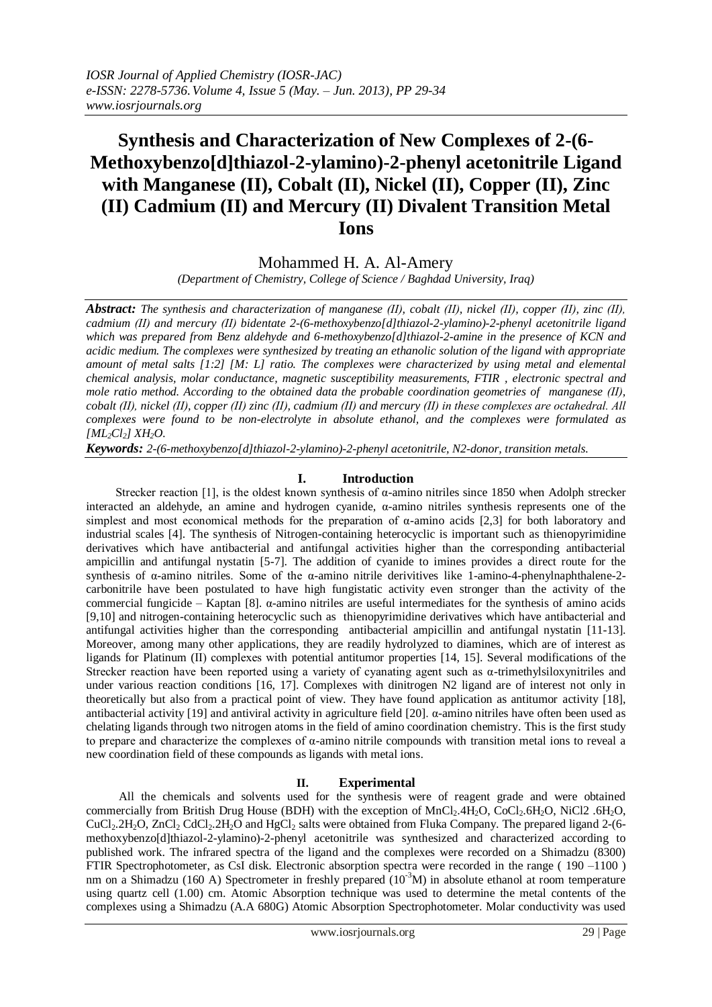# **Synthesis and Characterization of New Complexes of 2-(6- Methoxybenzo[d]thiazol-2-ylamino)-2-phenyl acetonitrile Ligand with Manganese (II), Cobalt (II), Nickel (II), Copper (II), Zinc (II) Cadmium (II) and Mercury (II) Divalent Transition Metal Ions**

## Mohammed H. A. Al-Amery

*(Department of Chemistry, College of Science / Baghdad University, Iraq)*

*Abstract: The synthesis and characterization of manganese (ІІ), cobalt (ІІ), nickel (ІІ), copper (ІІ), zinc (ІІ), cadmium (ІІ) and mercury (ІІ) bidentate 2-(6-methoxybenzo[d]thiazol-2-ylamino)-2-phenyl acetonitrile ligand which was prepared from Benz aldehyde and 6-methoxybenzo[d]thiazol-2-amine in the presence of KCN and acidic medium. The complexes were synthesized by treating an ethanolic solution of the ligand with appropriate amount of metal salts [1:2] [M: L] ratio. The complexes were characterized by using metal and elemental chemical analysis, molar conductance, magnetic susceptibility measurements, FTIR , electronic spectral and mole ratio method. According to the obtained data the probable coordination geometries of manganese (ІІ), cobalt (ІІ), nickel (ІІ), copper (ІІ) zinc (ІІ), cadmium (ІІ) and mercury (ІІ) in these complexes are octahedral. All complexes were found to be non-electrolyte in absolute ethanol, and the complexes were formulated as [ML2Cl2] XH2O.*

*Keywords: 2-(6-methoxybenzo[d]thiazol-2-ylamino)-2-phenyl acetonitrile, N2-donor, transition metals.*

## **I. Introduction**

Strecker reaction [1], is the oldest known synthesis of  $\alpha$ -amino nitriles since 1850 when Adolph strecker interacted an aldehyde, an amine and hydrogen cyanide, α-amino nitriles synthesis represents one of the simplest and most economical methods for the preparation of α-amino acids [2,3] for both laboratory and industrial scales [4]. The synthesis of Nitrogen-containing heterocyclic is important such as thienopyrimidine derivatives which have antibacterial and antifungal activities higher than the corresponding antibacterial ampicillin and antifungal nystatin [5-7]. The addition of cyanide to imines provides a direct route for the synthesis of α-amino nitriles. Some of the α-amino nitrile derivitives like 1-amino-4-phenylnaphthalene-2 carbonitrile have been postulated to have high fungistatic activity even stronger than the activity of the commercial fungicide – Kaptan [8]. α-amino nitriles are useful intermediates for the synthesis of amino acids [9,10] and nitrogen-containing heterocyclic such as thienopyrimidine derivatives which have antibacterial and antifungal activities higher than the corresponding antibacterial ampicillin and antifungal nystatin [11-13]. Moreover, among many other applications, they are readily hydrolyzed to diamines, which are of interest as ligands for Platinum (ІІ) complexes with potential antitumor properties [14, 15]. Several modifications of the Strecker reaction have been reported using a variety of cyanating agent such as α-trimethylsiloxynitriles and under various reaction conditions [16, 17]. Complexes with dinitrogen N2 ligand are of interest not only in theoretically but also from a practical point of view. They have found application as antitumor activity [18], antibacterial activity [19] and antiviral activity in agriculture field [20]. α-amino nitriles have often been used as chelating ligands through two nitrogen atoms in the field of amino coordination chemistry. This is the first study to prepare and characterize the complexes of α-amino nitrile compounds with transition metal ions to reveal a new coordination field of these compounds as ligands with metal ions.

## **II. Experimental**

All the chemicals and solvents used for the synthesis were of reagent grade and were obtained commercially from British Drug House (BDH) with the exception of  $MnCl<sub>2</sub>$ .4H<sub>2</sub>O, CoCl<sub>2</sub>.6H<sub>2</sub>O, NiCl2 .6H<sub>2</sub>O, CuCl<sub>2</sub>.2H<sub>2</sub>O, ZnCl<sub>2</sub> CdCl<sub>2</sub>.2H<sub>2</sub>O and HgCl<sub>2</sub> salts were obtained from Fluka Company. The prepared ligand 2-(6methoxybenzo[d]thiazol-2-ylamino)-2-phenyl acetonitrile was synthesized and characterized according to published work. The infrared spectra of the ligand and the complexes were recorded on a Shimadzu (8300) FTIR Spectrophotometer, as CsI disk. Electronic absorption spectra were recorded in the range ( 190 –1100 ) nm on a Shimadzu (160 A) Spectrometer in freshly prepared  $(10<sup>3</sup>M)$  in absolute ethanol at room temperature using quartz cell (1.00) cm. Atomic Absorption technique was used to determine the metal contents of the complexes using a Shimadzu (A.A 680G) Atomic Absorption Spectrophotometer. Molar conductivity was used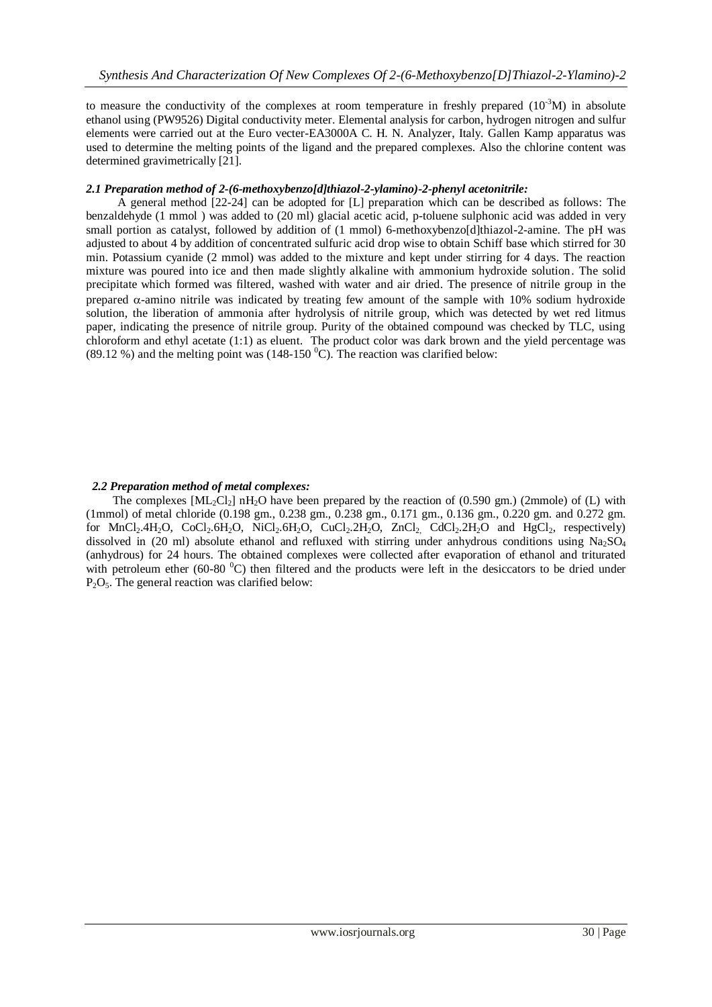to measure the conductivity of the complexes at room temperature in freshly prepared  $(10^{-3}M)$  in absolute ethanol using (PW9526) Digital conductivity meter. Elemental analysis for carbon, hydrogen nitrogen and sulfur elements were carried out at the Euro vecter-EA3000A C. H. N. Analyzer, Italy. Gallen Kamp apparatus was used to determine the melting points of the ligand and the prepared complexes. Also the chlorine content was determined gravimetrically [21].

### *2.1 Preparation method of 2-(6-methoxybenzo[d]thiazol-2-ylamino)-2-phenyl acetonitrile:*

 A general method [22-24] can be adopted for [L] preparation which can be described as follows: The benzaldehyde (1 mmol ) was added to (20 ml) glacial acetic acid, p-toluene sulphonic acid was added in very small portion as catalyst, followed by addition of (1 mmol) 6-methoxybenzo[d]thiazol-2-amine. The pH was adjusted to about 4 by addition of concentrated sulfuric acid drop wise to obtain Schiff base which stirred for 30 min. Potassium cyanide (2 mmol) was added to the mixture and kept under stirring for 4 days. The reaction mixture was poured into ice and then made slightly alkaline with ammonium hydroxide solution. The solid precipitate which formed was filtered, washed with water and air dried. The presence of nitrile group in the prepared  $\alpha$ -amino nitrile was indicated by treating few amount of the sample with 10% sodium hydroxide solution, the liberation of ammonia after hydrolysis of nitrile group, which was detected by wet red litmus paper, indicating the presence of nitrile group. Purity of the obtained compound was checked by TLC, using chloroform and ethyl acetate (1:1) as eluent. The product color was dark brown and the yield percentage was (89.12 %) and the melting point was (148-150  $^{\circ}$ C). The reaction was clarified below:

#### *2.2 Preparation method of metal complexes:*

The complexes  $\text{[ML}{}_{2}\text{Cl}_{2}\text{] }$  nH<sub>2</sub>O have been prepared by the reaction of (0.590 gm.) (2mmole) of (L) with (1mmol) of metal chloride (0.198 gm., 0.238 gm., 0.238 gm., 0.171 gm., 0.136 gm., 0.220 gm. and 0.272 gm. for MnCl<sub>2</sub>.4H<sub>2</sub>O, CoCl<sub>2</sub>.6H<sub>2</sub>O, NiCl<sub>2</sub>.6H<sub>2</sub>O, CuCl<sub>2</sub>.2H<sub>2</sub>O, ZnCl<sub>2</sub>, CdCl<sub>2</sub>.2H<sub>2</sub>O and HgCl<sub>2</sub>, respectively) dissolved in (20 ml) absolute ethanol and refluxed with stirring under anhydrous conditions using  $Na<sub>2</sub>SO<sub>4</sub>$ (anhydrous) for 24 hours. The obtained complexes were collected after evaporation of ethanol and triturated with petroleum ether (60-80 $^{\circ}$ C) then filtered and the products were left in the desiccators to be dried under  $P_2O_5$ . The general reaction was clarified below: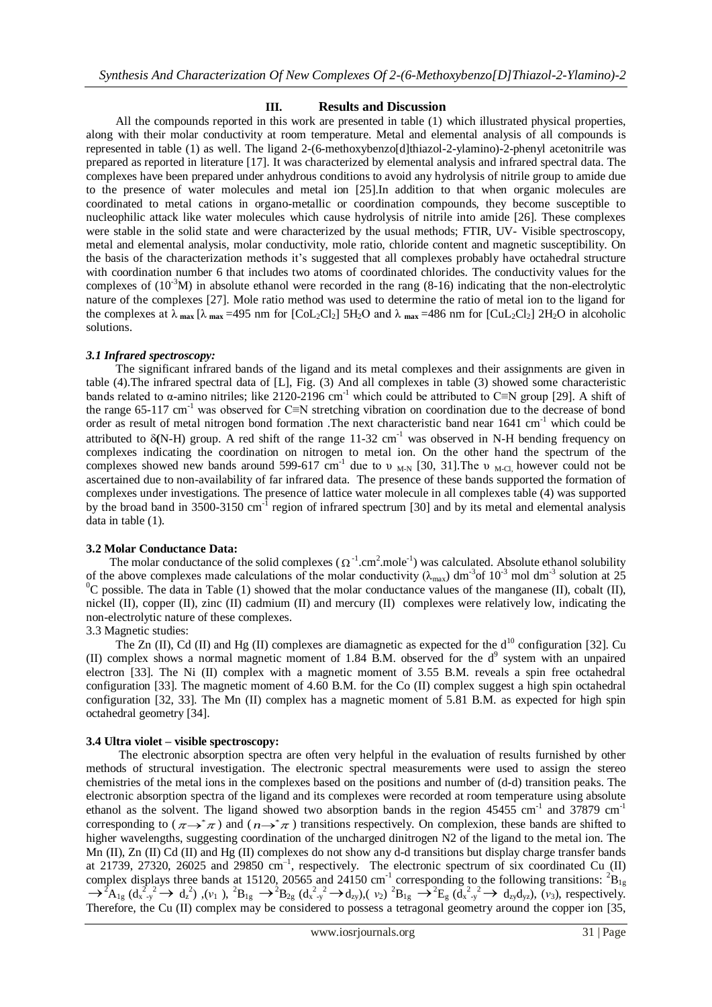#### **III. Results and Discussion**

 All the compounds reported in this work are presented in table (1) which illustrated physical properties, along with their molar conductivity at room temperature. Metal and elemental analysis of all compounds is represented in table (1) as well. The ligand 2-(6-methoxybenzo[d]thiazol-2-ylamino)-2-phenyl acetonitrile was prepared as reported in literature [17]. It was characterized by elemental analysis and infrared spectral data. The complexes have been prepared under anhydrous conditions to avoid any hydrolysis of nitrile group to amide due to the presence of water molecules and metal ion [25].In addition to that when organic molecules are coordinated to metal cations in organo-metallic or coordination compounds, they become susceptible to nucleophilic attack like water molecules which cause hydrolysis of nitrile into amide [26]. These complexes were stable in the solid state and were characterized by the usual methods; FTIR, UV- Visible spectroscopy, metal and elemental analysis, molar conductivity, mole ratio, chloride content and magnetic susceptibility. On the basis of the characterization methods it's suggested that all complexes probably have octahedral structure with coordination number 6 that includes two atoms of coordinated chlorides. The conductivity values for the complexes of  $(10<sup>3</sup>M)$  in absolute ethanol were recorded in the rang  $(8-16)$  indicating that the non-electrolytic nature of the complexes [27]. Mole ratio method was used to determine the ratio of metal ion to the ligand for the complexes at  $\lambda_{\text{max}}$  [ $\lambda_{\text{max}}$  =495 nm for [CoL<sub>2</sub>Cl<sub>2</sub>] 5H<sub>2</sub>O and  $\lambda_{\text{max}}$  =486 nm for [CuL<sub>2</sub>Cl<sub>2</sub>] 2H<sub>2</sub>O in alcoholic solutions.

#### *3.1 Infrared spectroscopy:*

 The significant infrared bands of the ligand and its metal complexes and their assignments are given in table (4).The infrared spectral data of [L], Fig. (3) And all complexes in table (3) showed some characteristic bands related to  $\alpha$ -amino nitriles; like 2120-2196 cm<sup>-1</sup> which could be attributed to C≡N group [29]. A shift of the range 65-117 cm<sup>-1</sup> was observed for C≡N stretching vibration on coordination due to the decrease of bond order as result of metal nitrogen bond formation .The next characteristic band near 1641 cm<sup>-1</sup> which could be attributed to  $\delta(N-H)$  group. A red shift of the range 11-32 cm<sup>-1</sup> was observed in N-H bending frequency on complexes indicating the coordination on nitrogen to metal ion. On the other hand the spectrum of the complexes showed new bands around 599-617 cm<sup>-1</sup> due to  $v_{M-N}$  [30, 31]. The  $v_{M-Cl}$ , however could not be ascertained due to non-availability of far infrared data. The presence of these bands supported the formation of complexes under investigations. The presence of lattice water molecule in all complexes table (4) was supported by the broad band in  $3500-3150$  cm<sup>-1</sup> region of infrared spectrum [30] and by its metal and elemental analysis data in table (1).

#### **3.2 Molar Conductance Data:**

The molar conductance of the solid complexes  $(\Omega^{-1}$ .cm<sup>2</sup>.mole<sup>-1</sup>) was calculated. Absolute ethanol solubility of the above complexes made calculations of the molar conductivity ( $\lambda_{\rm max}$ ) dm<sup>-3</sup> of 10<sup>-3</sup> mol dm<sup>-3</sup> solution at 25  $^{\circ}$ C possible. The data in Table (1) showed that the molar conductance values of the manganese (II), cobalt (II), nickel (II), copper (II), zinc (II) cadmium (II) and mercury (II) complexes were relatively low, indicating the non-electrolytic nature of these complexes.

#### 3.3 Magnetic studies:

The Zn (II), Cd (II) and Hg (II) complexes are diamagnetic as expected for the  $d^{10}$  configuration [32]. Cu (II) complex shows a normal magnetic moment of 1.84 B.M. observed for the  $d<sup>9</sup>$  system with an unpaired electron [33]. The Ni (II) complex with a magnetic moment of 3.55 B.M. reveals a spin free octahedral configuration [33]. The magnetic moment of 4.60 B.M. for the Co (II) complex suggest a high spin octahedral configuration [32, 33]. The Mn (II) complex has a magnetic moment of 5.81 B.M. as expected for high spin octahedral geometry [34].

#### **3.4 Ultra violet – visible spectroscopy:**

 The electronic absorption spectra are often very helpful in the evaluation of results furnished by other methods of structural investigation. The electronic spectral measurements were used to assign the stereo chemistries of the metal ions in the complexes based on the positions and number of (d-d) transition peaks. The electronic absorption spectra of the ligand and its complexes were recorded at room temperature using absolute ethanol as the solvent. The ligand showed two absorption bands in the region  $45455 \text{ cm}^{-1}$  and  $37879 \text{ cm}^{-1}$ corresponding to  $(\pi \rightarrow^* \pi)$  and  $(n \rightarrow^* \pi)$  transitions respectively. On complexion, these bands are shifted to higher wavelengths, suggesting coordination of the uncharged dinitrogen N2 of the ligand to the metal ion. The Mn (II), Zn (II) Cd (II) and Hg (II) complexes do not show any d-d transitions but display charge transfer bands at 21739, 27320, 26025 and 29850 cm<sup>-1</sup>, respectively. The electronic spectrum of six coordinated Cu (II) complex displays three bands at 15120, 20565 and 24150 cm<sup>-1</sup> corresponding to the following transitions:  ${}^{2}B_{1g}$  $\rightarrow$ <sup>2</sup>A<sub>1g</sub> (d<sub>x</sub><sup>2</sup>,<sup>2</sup>) + d<sub>z</sub><sup>2</sup>), (*v*<sub>1</sub>), <sup>2</sup>B<sub>1g</sub>  $\rightarrow$ <sup>2</sup>B<sub>2g</sub> (d<sub>x</sub><sup>2</sup>,<sup>2</sup>) + d<sub>zy</sub>), (*v*<sub>2</sub>)<sup>2</sup>B<sub>1g</sub>  $\rightarrow$ <sup>2</sup>E<sub>g</sub> (d<sub>x</sub><sup>2</sup>,<sup>2</sup>) + d<sub>zy</sub>d<sub>yz</sub>), (*v*<sub>3</sub>), respectively. Therefore, the Cu (II) complex may be considered to possess a tetragonal geometry around the copper ion [35,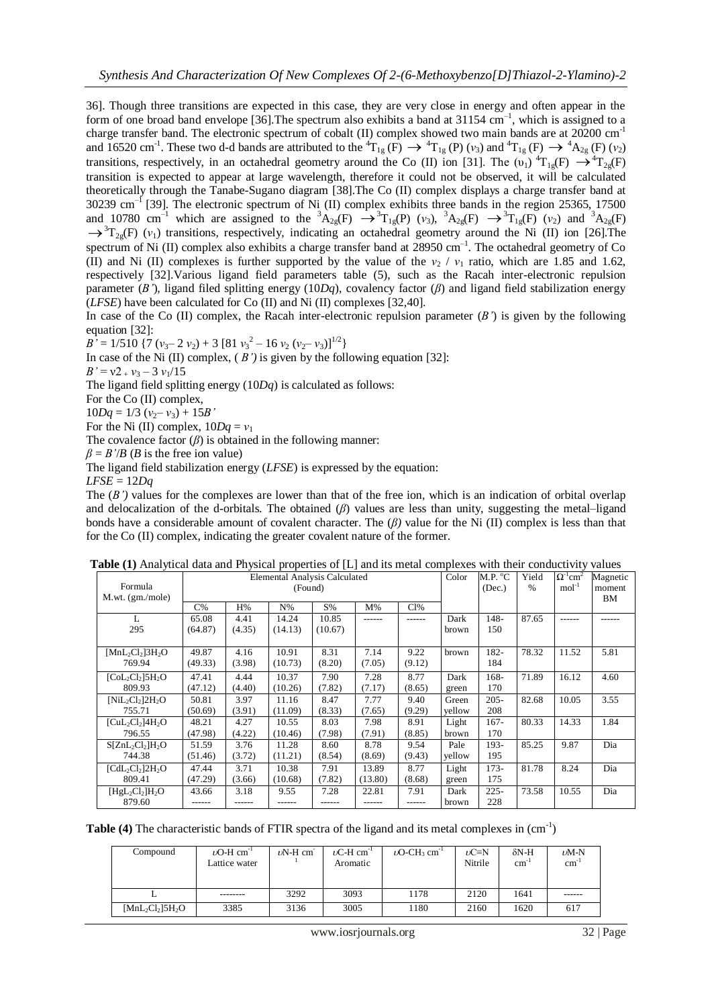36]. Though three transitions are expected in this case, they are very close in energy and often appear in the form of one broad band envelope [36]. The spectrum also exhibits a band at  $31154 \text{ cm}^{-1}$ , which is assigned to a charge transfer band. The electronic spectrum of cobalt (II) complex showed two main bands are at 20200 cm<sup>-1</sup> and 16520 cm<sup>-1</sup>. These two d-d bands are attributed to the  ${}^{4}T_{1g}$  (F)  $\rightarrow {}^{4}T_{1g}$  (P) (*v*<sub>3</sub>) and  ${}^{4}T_{1g}$  (F)  $\rightarrow {}^{4}A_{2g}$  (F) (*v*<sub>2</sub>) transitions, respectively, in an octahedral geometry around the Co (II) ion [31]. The  $(v_1)^{4}T_{1g}(F) \rightarrow {}^{4}T_{2g}(F)$ transition is expected to appear at large wavelength, therefore it could not be observed, it will be calculated theoretically through the Tanabe-Sugano diagram [38].The Co (II) complex displays a charge transfer band at  $30239 \text{ cm}^{-1}$  [39]. The electronic spectrum of Ni (II) complex exhibits three bands in the region 25365, 17500 and 10780 cm<sup>-1</sup> which are assigned to the <sup>3</sup>A<sub>2g</sub>(F)  $\rightarrow$ <sup>3</sup>T<sub>1g</sub>(P) (*v*<sub>3</sub>), <sup>3</sup>A<sub>2g</sub>(F)  $\rightarrow$ <sup>3</sup>T<sub>1g</sub>(F) (*v*<sub>2</sub>) and <sup>3</sup>A<sub>2g</sub>(F)  $\rightarrow$ <sup>3</sup>T<sub>2g</sub>(F) ( $v_1$ ) transitions, respectively, indicating an octahedral geometry around the Ni (II) ion [26]. The spectrum of Ni (II) complex also exhibits a charge transfer band at  $28950 \text{ cm}^{-1}$ . The octahedral geometry of Co (II) and Ni (II) complexes is further supported by the value of the  $v_2 / v_1$  ratio, which are 1.85 and 1.62, respectively [32].Various ligand field parameters table (5), such as the Racah inter-electronic repulsion parameter (*B'*), ligand filed splitting energy (10*Dq*), covalency factor (*β*) and ligand field stabilization energy (*LFSE*) have been calculated for Co (II) and Ni (II) complexes [32,40].

In case of the Co  $(II)$  complex, the Racah inter-electronic repulsion parameter  $(B')$  is given by the following equation [32]:

 $B^{\prime} = 1/510 \{ 7 (v_3 - 2 v_2) + 3 [81 v_3^2 - 16 v_2 (v_2 - v_3)]^{1/2} \}$ 

In case of the Ni (II) complex, ( *B')* is given by the following equation [32]:

 $B' = v2 + v_3 - 3 v_1/15$ 

The ligand field splitting energy (10*Dq*) is calculated as follows:

For the Co (II) complex,

 $10Dq = 1/3$  ( $v_2 - v_3$ ) + 15*B*<sup>'</sup>

For the Ni (II) complex,  $10Dq = v_1$ 

The covalence factor  $(\beta)$  is obtained in the following manner:

 $\beta = B'/B$  (*B* is the free ion value)

The ligand field stabilization energy (*LFSE*) is expressed by the equation:

 $LFSE = 12Dq$ 

The  $(B')$  values for the complexes are lower than that of the free ion, which is an indication of orbital overlap and delocalization of the d-orbitals. The obtained (*β*) values are less than unity, suggesting the metal–ligand bonds have a considerable amount of covalent character. The (*β)* value for the Ni (II) complex is less than that for the Co (II) complex, indicating the greater covalent nature of the former.

|                                                      | Elemental Analysis Calculated |         |         |         |         | Color  | M.P. °C | Yield   | $\Omega^{-1}$ cm <sup>2</sup> | Magnetic |              |
|------------------------------------------------------|-------------------------------|---------|---------|---------|---------|--------|---------|---------|-------------------------------|----------|--------------|
| Formula<br>M.wt. (gm./mole)                          |                               | (Found) |         |         |         |        |         | (Dec.)  | $\%$                          | $mol-1$  | moment<br>BM |
|                                                      | $C\%$                         | H%      | $N\%$   | S%      | $M\%$   | Cl%    |         |         |                               |          |              |
| L                                                    | 65.08                         | 4.41    | 14.24   | 10.85   | ------  | ------ | Dark    | 148-    | 87.65                         | ------   |              |
| 295                                                  | (64.87)                       | (4.35)  | (14.13) | (10.67) |         |        | brown   | 150     |                               |          |              |
| $[MnL_2Cl_2]$ 3H <sub>2</sub> O                      | 49.87                         | 4.16    | 10.91   | 8.31    | 7.14    | 9.22   | brown   | 182-    | 78.32                         | 11.52    | 5.81         |
| 769.94                                               | (49.33)                       | (3.98)  | (10.73) | (8.20)  | (7.05)  | (9.12) |         | 184     |                               |          |              |
| $[CoL_2Cl_2]$ 5H <sub>2</sub> O                      | 47.41                         | 4.44    | 10.37   | 7.90    | 7.28    | 8.77   | Dark    | 168-    | 71.89                         | 16.12    | 4.60         |
| 809.93                                               | (47.12)                       | (4.40)  | (10.26) | (7.82)  | (7.17)  | (8.65) | green   | 170     |                               |          |              |
| $[NiL_2Cl_2]2H_2O$                                   | 50.81                         | 3.97    | 11.16   | 8.47    | 7.77    | 9.40   | Green   | $205 -$ | 82.68                         | 10.05    | 3.55         |
| 755.71                                               | (50.69)                       | (3.91)  | (11.09) | (8.33)  | (7.65)  | (9.29) | yellow  | 208     |                               |          |              |
| $[CuL2Cl2]4H2O$                                      | 48.21                         | 4.27    | 10.55   | 8.03    | 7.98    | 8.91   | Light   | $167 -$ | 80.33                         | 14.33    | 1.84         |
| 796.55                                               | (47.98)                       | (4.22)  | (10.46) | (7.98)  | (7.91)  | (8.85) | brown   | 170     |                               |          |              |
| $S[ZnL_2Cl_2]H_2O$                                   | 51.59                         | 3.76    | 11.28   | 8.60    | 8.78    | 9.54   | Pale    | 193-    | 85.25                         | 9.87     | Dia          |
| 744.38                                               | (51.46)                       | (3.72)  | (11.21) | (8.54)  | (8.69)  | (9.43) | yellow  | 195     |                               |          |              |
| $\text{CdL}_2\text{Cl}_2\text{]}2\text{H}_2\text{O}$ | 47.44                         | 3.71    | 10.38   | 7.91    | 13.89   | 8.77   | Light   | $173-$  | 81.78                         | 8.24     | Dia          |
| 809.41                                               | (47.29)                       | (3.66)  | (10.68) | (7.82)  | (13.80) | (8.68) | green   | 175     |                               |          |              |
| $[HgL_2Cl_2]H_2O$                                    | 43.66                         | 3.18    | 9.55    | 7.28    | 22.81   | 7.91   | Dark    | $225 -$ | 73.58                         | 10.55    | Dia          |
| 879.60                                               |                               |         |         |         |         | ------ | brown   | 228     |                               |          |              |

**Table (1)** Analytical data and Physical properties of [L] and its metal complexes with their conductivity values

Table (4) The characteristic bands of FTIR spectra of the ligand and its metal complexes in  $(cm^{-1})$ 

| Compound           | $\nu$ O-H cm <sup>-1</sup><br>Lattice water | $\nu$ N-H cm | $\nu$ C-H cm <sup>-1</sup><br>Aromatic | $\nu$ O-CH <sub>3</sub> cm <sup>-1</sup> | $\nu$ C=N<br>Nitrile | $\delta N-H$<br>$\text{cm}^{-1}$ | $\nu$ M-N<br>cm <sup>3</sup> |
|--------------------|---------------------------------------------|--------------|----------------------------------------|------------------------------------------|----------------------|----------------------------------|------------------------------|
| ∸                  | --------                                    | 3292         | 3093                                   | 1178                                     | 2120                 | 1641                             | ------                       |
| $[MnL_2Cl_2]5H_2O$ | 3385                                        | 3136         | 3005                                   | 1180                                     | 2160                 | 1620                             | 617                          |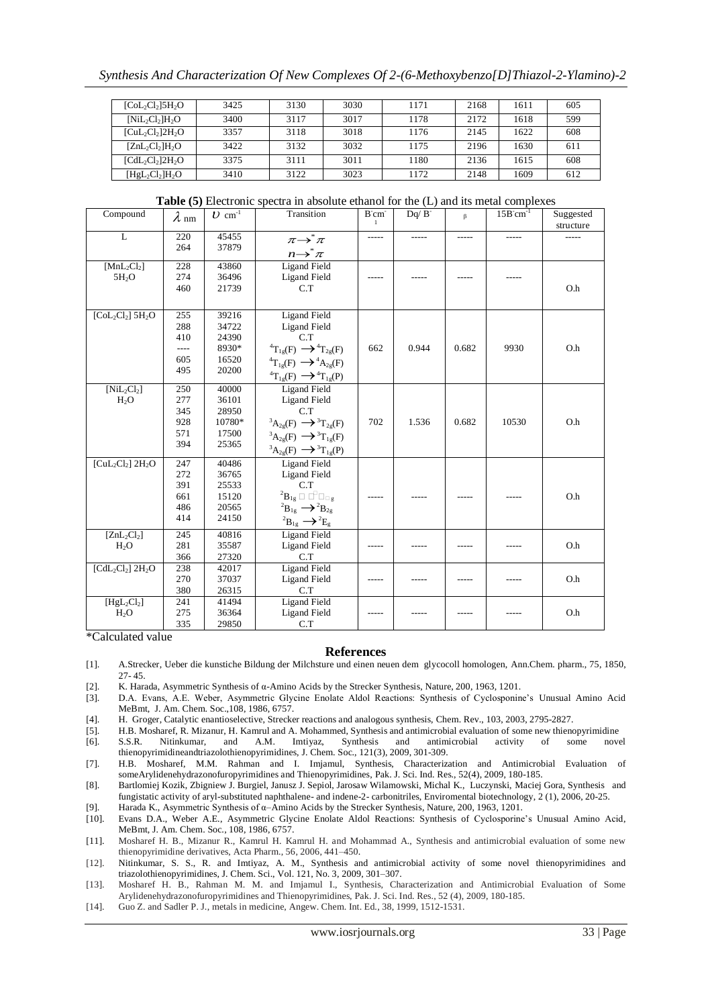| $[Col_2Cl_2]$ 5H <sub>2</sub> O | 3425 | 3130 | 3030 | 1171 | 2168 | 1611 | 605 |
|---------------------------------|------|------|------|------|------|------|-----|
| $[NiL_2Cl_2]H_2O$               | 3400 | 3117 | 3017 | 1178 | 2172 | 1618 | 599 |
| $[CuL2Cl2]2H2O$                 | 3357 | 3118 | 3018 | 1176 | 2145 | 1622 | 608 |
| $[ZnL_2Cl_2]H_2O$               | 3422 | 3132 | 3032 | 1175 | 2196 | 1630 | 611 |
| $[CdL_2Cl_2]$ $2H_2O$           | 3375 | 3111 | 3011 | 1180 | 2136 | 1615 | 608 |
| $[HgL_2Cl_2]H_2O$               | 3410 | 3122 | 3023 | 1172 | 2148 | 1609 | 612 |

**Table (5)** Electronic spectra in absolute ethanol for the (L) and its metal complexes

| Compound                        | $\lambda$ nm | $U \text{ cm}^{-1}$ | Transition                                        | B'cm  | $Dq / B^-$ | $\beta$ | $15Bcm^{-1}$ | Suggested<br>structure |
|---------------------------------|--------------|---------------------|---------------------------------------------------|-------|------------|---------|--------------|------------------------|
| L                               | 220          | 45455               | $\pi \rightarrow^* \pi$                           | ----- |            |         |              |                        |
|                                 | 264          | 37879               | $n \rightarrow \pi$                               |       |            |         |              |                        |
| $[MnL_2Cl_2]$                   | 228          | 43860               | <b>Ligand Field</b>                               |       |            |         |              |                        |
| 5H <sub>2</sub> O               | 274          | 36496               | <b>Ligand Field</b>                               |       |            |         |              |                        |
|                                 | 460          | 21739               | C.T                                               |       |            |         |              | O.h                    |
|                                 |              |                     |                                                   |       |            |         |              |                        |
| $[Col_2Cl_2]$ 5H <sub>2</sub> O | 255          | 39216               | <b>Ligand Field</b>                               |       |            |         |              |                        |
|                                 | 288          | 34722               | <b>Ligand Field</b>                               |       |            |         |              |                        |
|                                 | 410          | 24390               | C.T                                               |       |            |         |              |                        |
|                                 |              | 8930*               | ${}^{4}T_{1g}(F) \longrightarrow {}^{4}T_{2g}(F)$ | 662   | 0.944      | 0.682   | 9930         | O.h                    |
|                                 | 605          | 16520               | ${}^{4}T_{1g}(F) \longrightarrow {}^{4}A_{2g}(F)$ |       |            |         |              |                        |
|                                 | 495          | 20200               | ${}^{4}T_{1g}(F) \longrightarrow {}^{4}T_{1g}(P)$ |       |            |         |              |                        |
| $[NiL_2Cl_2]$                   | 250          | 40000               | <b>Ligand Field</b>                               |       |            |         |              |                        |
| $H_2O$                          | 277          | 36101               | <b>Ligand Field</b>                               |       |            |         |              |                        |
|                                 | 345          | 28950               | C.T                                               |       |            |         |              |                        |
|                                 | 928          | 10780*              | ${}^3A_{2g}(F) \longrightarrow {}^3T_{2g}(F)$     | 702   | 1.536      | 0.682   | 10530        | O.h                    |
|                                 | 571          | 17500               | ${}^3A_{2g}(F) \longrightarrow {}^3T_{1g}(F)$     |       |            |         |              |                        |
|                                 | 394          | 25365               | ${}^3A_{2g}(F) \longrightarrow {}^3T_{1g}(P)$     |       |            |         |              |                        |
| $[CuL2Cl2] 2H2O$                | 247          | 40486               | <b>Ligand Field</b>                               |       |            |         |              |                        |
|                                 | 272          | 36765               | <b>Ligand Field</b>                               |       |            |         |              |                        |
|                                 | 391          | 25533               | C.T                                               |       |            |         |              |                        |
|                                 | 661          | 15120               | ${}^2B_{1g} \square \square \square_{\square g}$  |       |            |         |              | O.h                    |
|                                 | 486          | 20565               | ${}^2B_{1g} \longrightarrow {}^2B_{2g}$           |       |            |         |              |                        |
|                                 | 414          | 24150               | ${}^2B_{1g} \longrightarrow {}^2E_g$              |       |            |         |              |                        |
| $[ZnL_2Cl_2]$                   | 245          | 40816               | <b>Ligand Field</b>                               |       |            |         |              |                        |
| $H_2O$                          | 281          | 35587               | <b>Ligand Field</b>                               |       |            |         |              | O.h                    |
|                                 | 366          | 27320               | C.T                                               |       |            |         |              |                        |
| $[CdL_2Cl_2]$ 2H <sub>2</sub> O | 238          | 42017               | <b>Ligand Field</b>                               |       |            |         |              |                        |
|                                 | 270          | 37037               | <b>Ligand Field</b>                               |       |            |         |              | O.h                    |
|                                 | 380          | 26315               | C.T                                               |       |            |         |              |                        |
| $[HgL_2Cl_2]$                   | 241          | 41494               | <b>Ligand Field</b>                               |       |            |         |              |                        |
| $H_2O$                          | 275          | 36364               | <b>Ligand Field</b>                               |       |            |         |              | O.h                    |
|                                 | 335          | 29850               | C.T                                               |       |            |         |              |                        |

\*Calculated value

#### **References**

- [1]. A.Strecker, Ueber die kunstiche Bildung der Milchsture und einen neuen dem glycocoll homologen, Ann.Chem. pharm., 75, 1850, 27- 45.
- [2]. K. Harada, Asymmetric Synthesis of α-Amino Acids by the Strecker Synthesis, Nature, 200, 1963, 1201.
- [3]. D.A. Evans, A.E. Weber, Asymmetric Glycine Enolate Aldol Reactions: Synthesis of Cyclosponine's Unusual Amino Acid MeBmt, J. Am. Chem. Soc.,108, 1986, 6757.
- [4]. H. Groger, Catalytic enantioselective, Strecker reactions and analogous synthesis, Chem. Rev., 103, 2003, 2795-2827.
- [5]. H.B. Mosharef, R. Mizanur, H. Kamrul and A. Mohammed, Synthesis and antimicrobial evaluation of some new thienopyrimidine [6]. S.S.R. Nitinkumar, and A.M. Imtiyaz, Synthesis and antimicrobial activity of some novel
- thienopyrimidineandtriazolothienopyrimidines, J. Chem. Soc., 121(3), 2009, 301-309. [7]. H.B. Mosharef, M.M. Rahman and I. Imjamul, Synthesis, Characterization and Antimicrobial Evaluation of someArylidenehydrazonofuropyrimidines and Thienopyrimidines, Pak. J. Sci. Ind. Res., 52(4), 2009, 180-185.
- [8]. Bartlomiej Kozik, Zbigniew J. Burgiel, Janusz J. Sepiol, Jarosaw Wilamowski, Michal K., Luczynski, Maciej Gora, Synthesis and fungistatic activity of aryl-substituted naphthalene- and indene-2- carbonitriles, Enviromental biotechnology, 2 (1), 2006, 20-25.
- 
- [9]. Harada K., Asymmetric Synthesis of α–Amino Acids by the Strecker Synthesis, Nature, 200, 1963, 1201. [10]. Evans D.A., Weber A.E., Asymmetric Glycine Enolate Aldol Reactions: Synthesis of Cyclosporine's Unusual Amino Acid, MeBmt, J. Am. Chem. Soc., 108, 1986, 6757.
- [11]. Mosharef H. B., Mizanur R., Kamrul H. Kamrul H. and Mohammad A., Synthesis and antimicrobial evaluation of some new thienopyrimidine derivatives, Acta Pharm., 56, 2006, 441–450.
- [12]. Nitinkumar, S. S., R. and Imtiyaz, A. M., Synthesis and antimicrobial activity of some novel thienopyrimidines and triazolothienopyrimidines, J. Chem. Sci., Vol. 121, No. 3, 2009, 301–307.
- [13]. Mosharef H. B., Rahman M. M. and Imjamul I., Synthesis, Characterization and Antimicrobial Evaluation of Some Arylidenehydrazonofuropyrimidines and Thienopyrimidines, Pak. J. Sci. Ind. Res., 52 (4), 2009, 180-185.
- [14]. Guo Z. and Sadler P. J., metals in medicine, Angew. Chem. Int. Ed., 38, 1999, 1512-1531.